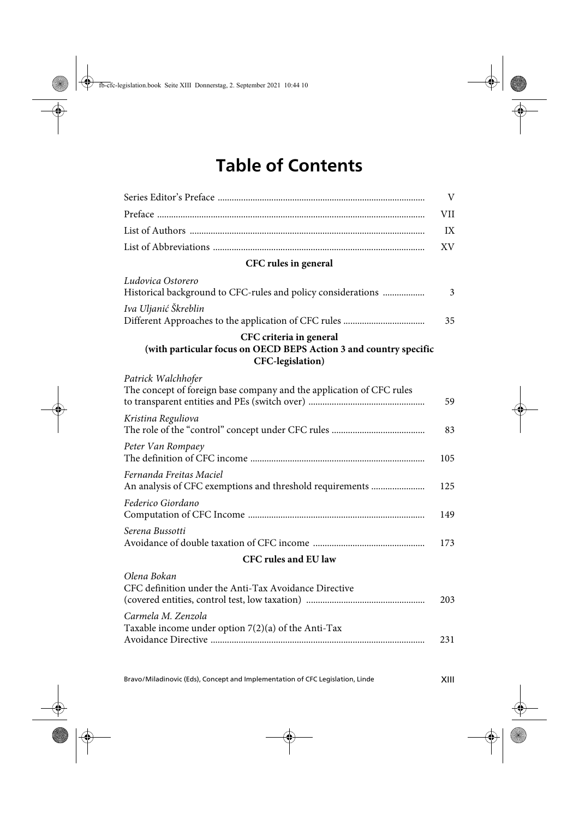## **Table of Contents**

|                                                                                                                  | V   |
|------------------------------------------------------------------------------------------------------------------|-----|
|                                                                                                                  | VII |
|                                                                                                                  | IX  |
|                                                                                                                  | XV. |
| CFC rules in general                                                                                             |     |
| Ludovica Ostorero<br>Historical background to CFC-rules and policy considerations                                | 3   |
| Iva Uljanić Škreblin                                                                                             | 35  |
| CFC criteria in general<br>(with particular focus on OECD BEPS Action 3 and country specific<br>CFC-legislation) |     |
| Patrick Walchhofer<br>The concept of foreign base company and the application of CFC rules                       | 59  |
| Kristina Reguliova                                                                                               | 83  |
| Peter Van Rompaey                                                                                                | 105 |
| Fernanda Freitas Maciel<br>An analysis of CFC exemptions and threshold requirements                              | 125 |
| Federico Giordano                                                                                                | 149 |
| Serena Bussotti                                                                                                  | 173 |
| <b>CFC rules and EU law</b>                                                                                      |     |
| Olena Bokan<br>CFC definition under the Anti-Tax Avoidance Directive                                             | 203 |
| Carmela M. Zenzola<br>Taxable income under option 7(2)(a) of the Anti-Tax                                        | 231 |